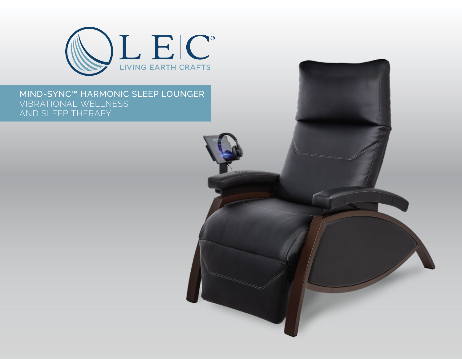

## MIND-SYNC™ HARMONIC SLEEP LOUNGER VIBRATIONAL WELLNESS AND SLEEP THERAPY